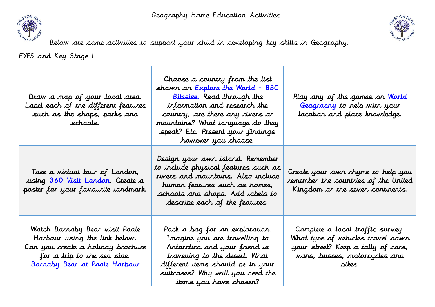



Below are some activities to support your child in developing key skills in Geography.

EYFS and Key Stage 1

| Draw a map of your local area.<br>Label each of the different features<br>such as the shops, parks and<br>schaals.                                                   | Choose a country from the list<br>shown on <u>Explore the World - BBC</u><br><u>Bitesize.</u> Read through the<br>information and research the<br>country, are there any rivers or<br>mountains? What language do they<br>speak? Etc. Present your findings<br>however you choose. | Play any of the games on <u>World</u><br>Geography to help with your<br>location and place knowledge.                                                  |
|----------------------------------------------------------------------------------------------------------------------------------------------------------------------|------------------------------------------------------------------------------------------------------------------------------------------------------------------------------------------------------------------------------------------------------------------------------------|--------------------------------------------------------------------------------------------------------------------------------------------------------|
| Take a virtual tour of London,<br>using 360 Visit London. Create a<br>poster for your favourite landmark.                                                            | Design your own island. Remember<br>to include physical features such as<br>rivers and mountains. Also include<br>humar features such as homes,<br>schools and shops. Add labels to<br>describe each of the features.                                                              | Create your own rhyme to help you<br>remember the countries of the United<br>Kingdom or the seven continents.                                          |
| Watch Barnaby Bear visit Poole<br>Harbour using the link below.<br>Can you create a holiday brochure<br>for a trip to the sea side.<br>Barnaby Bear at Poole Harbour | Pack a bag for an exploration.<br>Imagine you are travelling to<br>Antarctica and your friend is<br>travelling to the desert. What<br>different items should be in your<br>suitcases? Why will you need the<br>items you have choser?                                              | Complete a local traffic survey.<br>What type of vehicles travel down<br>your street? Keep a tally of cars,<br>vans, busses, motorcycles and<br>bikes. |